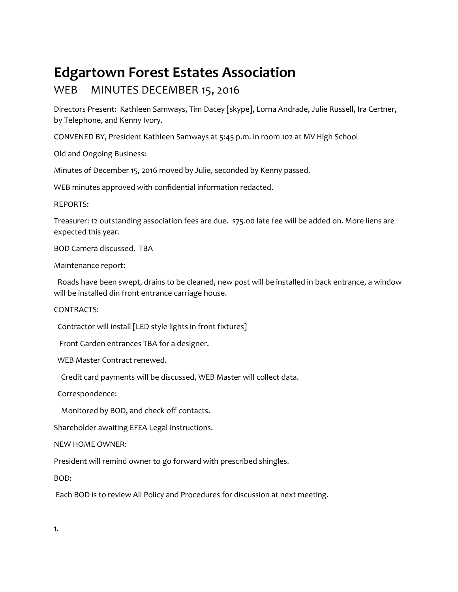## **Edgartown Forest Estates Association**

## WEB MINUTES DECEMBER 15, 2016

Directors Present: Kathleen Samways, Tim Dacey [skype], Lorna Andrade, Julie Russell, Ira Certner, by Telephone, and Kenny Ivory.

CONVENED BY, President Kathleen Samways at 5:45 p.m. in room 102 at MV High School

Old and Ongoing Business:

Minutes of December 15, 2016 moved by Julie, seconded by Kenny passed.

WEB minutes approved with confidential information redacted.

REPORTS:

Treasurer: 12 outstanding association fees are due. \$75.00 late fee will be added on. More liens are expected this year.

BOD Camera discussed. TBA

Maintenance report:

 Roads have been swept, drains to be cleaned, new post will be installed in back entrance, a window will be installed din front entrance carriage house.

CONTRACTS:

Contractor will install [LED style lights in front fixtures]

Front Garden entrances TBA for a designer.

WEB Master Contract renewed.

Credit card payments will be discussed, WEB Master will collect data.

Correspondence:

Monitored by BOD, and check off contacts.

Shareholder awaiting EFEA Legal Instructions.

NEW HOME OWNER:

President will remind owner to go forward with prescribed shingles.

BOD:

Each BOD is to review All Policy and Procedures for discussion at next meeting.